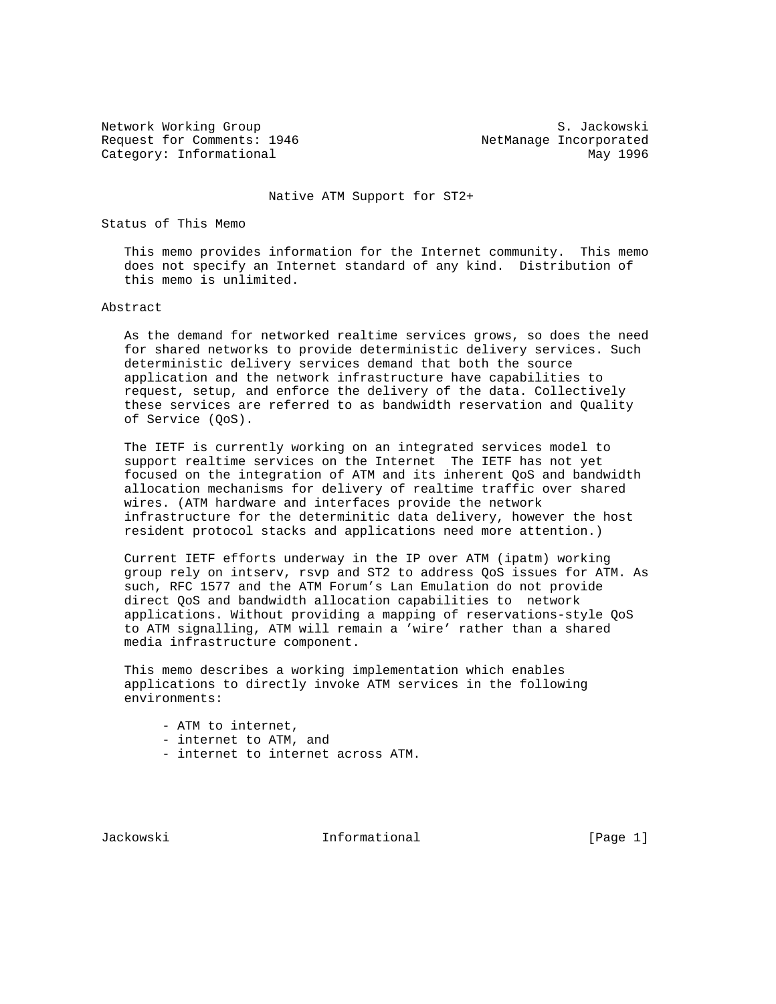Network Working Group S. Jackowski Request for Comments: 1946 MetManage Incorporated Category: Informational May 1996

Native ATM Support for ST2+

Status of This Memo

 This memo provides information for the Internet community. This memo does not specify an Internet standard of any kind. Distribution of this memo is unlimited.

#### Abstract

 As the demand for networked realtime services grows, so does the need for shared networks to provide deterministic delivery services. Such deterministic delivery services demand that both the source application and the network infrastructure have capabilities to request, setup, and enforce the delivery of the data. Collectively these services are referred to as bandwidth reservation and Quality of Service (QoS).

 The IETF is currently working on an integrated services model to support realtime services on the Internet The IETF has not yet focused on the integration of ATM and its inherent QoS and bandwidth allocation mechanisms for delivery of realtime traffic over shared wires. (ATM hardware and interfaces provide the network infrastructure for the determinitic data delivery, however the host resident protocol stacks and applications need more attention.)

 Current IETF efforts underway in the IP over ATM (ipatm) working group rely on intserv, rsvp and ST2 to address QoS issues for ATM. As such, RFC 1577 and the ATM Forum's Lan Emulation do not provide direct QoS and bandwidth allocation capabilities to network applications. Without providing a mapping of reservations-style QoS to ATM signalling, ATM will remain a 'wire' rather than a shared media infrastructure component.

 This memo describes a working implementation which enables applications to directly invoke ATM services in the following environments:

- ATM to internet,
- internet to ATM, and
- internet to internet across ATM.

Jackowski Informational [Page 1]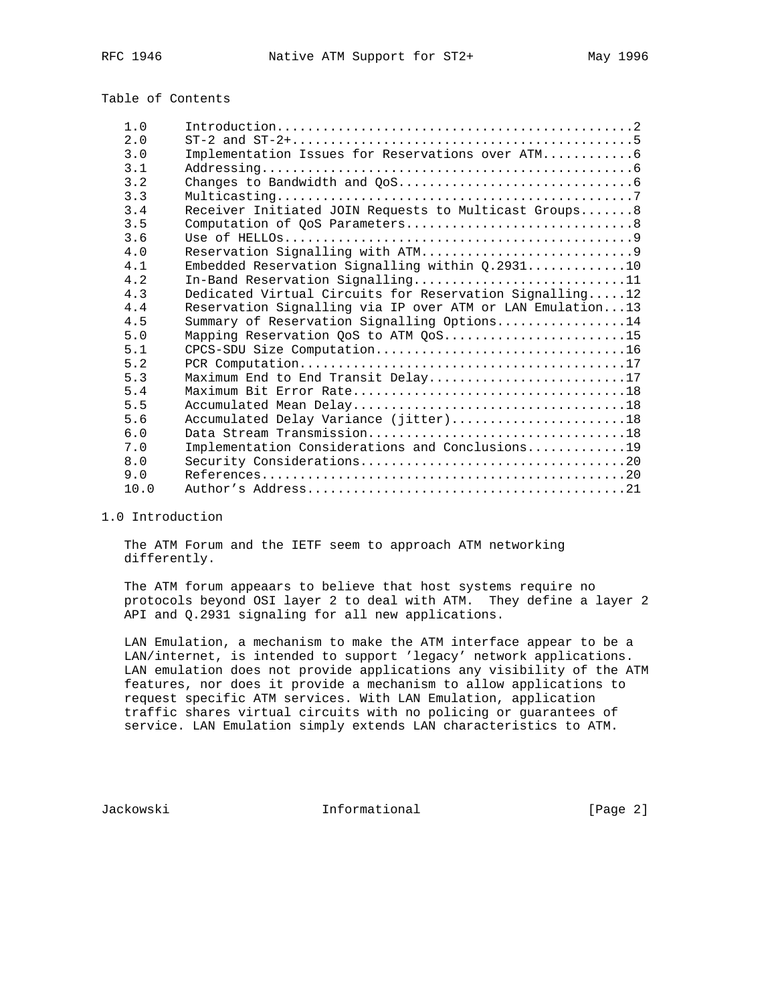# Table of Contents

| 1.0  |                                                           |
|------|-----------------------------------------------------------|
| 2.0  |                                                           |
| 3.0  | Implementation Issues for Reservations over ATM 6         |
| 3.1  |                                                           |
| 3.2  |                                                           |
| 3.3  |                                                           |
| 3.4  | Receiver Initiated JOIN Requests to Multicast Groups8     |
| 3.5  |                                                           |
| 3.6  |                                                           |
| 4.0  |                                                           |
| 4.1  | Embedded Reservation Signalling within Q.293110           |
| 4.2  | In-Band Reservation Signalling11                          |
| 4.3  | Dedicated Virtual Circuits for Reservation Signalling12   |
| 4.4  | Reservation Signalling via IP over ATM or LAN Emulation13 |
| 4.5  | Summary of Reservation Signalling Options14               |
| 5.0  | Mapping Reservation QoS to ATM QoS15                      |
| 5.1  |                                                           |
| 5.2  |                                                           |
| 5.3  | Maximum End to End Transit Delay17                        |
| 5.4  |                                                           |
| 5.5  |                                                           |
| 5.6  | Accumulated Delay Variance (jitter)18                     |
| 6.0  |                                                           |
| 7.0  | Implementation Considerations and Conclusions19           |
| 8.0  |                                                           |
| 9.0  |                                                           |
| 10.0 |                                                           |

## 1.0 Introduction

 The ATM Forum and the IETF seem to approach ATM networking differently.

 The ATM forum appeaars to believe that host systems require no protocols beyond OSI layer 2 to deal with ATM. They define a layer 2 API and Q.2931 signaling for all new applications.

 LAN Emulation, a mechanism to make the ATM interface appear to be a LAN/internet, is intended to support 'legacy' network applications. LAN emulation does not provide applications any visibility of the ATM features, nor does it provide a mechanism to allow applications to request specific ATM services. With LAN Emulation, application traffic shares virtual circuits with no policing or guarantees of service. LAN Emulation simply extends LAN characteristics to ATM.

Jackowski Informational [Page 2]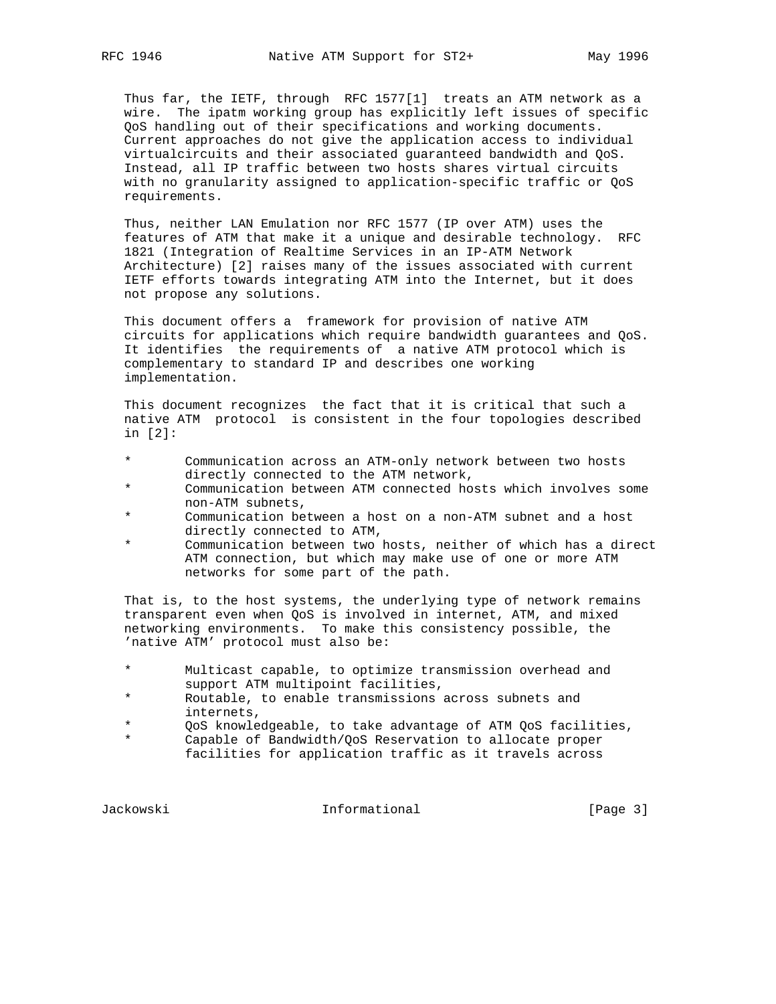Thus far, the IETF, through RFC 1577[1] treats an ATM network as a wire. The ipatm working group has explicitly left issues of specific QoS handling out of their specifications and working documents. Current approaches do not give the application access to individual virtualcircuits and their associated guaranteed bandwidth and QoS. Instead, all IP traffic between two hosts shares virtual circuits with no granularity assigned to application-specific traffic or QoS requirements.

 Thus, neither LAN Emulation nor RFC 1577 (IP over ATM) uses the features of ATM that make it a unique and desirable technology. RFC 1821 (Integration of Realtime Services in an IP-ATM Network Architecture) [2] raises many of the issues associated with current IETF efforts towards integrating ATM into the Internet, but it does not propose any solutions.

 This document offers a framework for provision of native ATM circuits for applications which require bandwidth guarantees and QoS. It identifies the requirements of a native ATM protocol which is complementary to standard IP and describes one working implementation.

 This document recognizes the fact that it is critical that such a native ATM protocol is consistent in the four topologies described in [2]:

- Communication across an ATM-only network between two hosts directly connected to the ATM network,<br>Communication between ATM connected be
- Communication between ATM connected hosts which involves some non-ATM subnets,<br>
communication beh
- Communication between a host on a non-ATM subnet and a host directly connected to ATM,<br>  $\begin{array}{ccc} \n\bullet & \text{Gamma} & \text{Pertagon} & \text{total} \\
\bullet & \text{Gamma} & \text{Pertagon} & \text{total} \\
\end{array}$
- Communication between two hosts, neither of which has a direct ATM connection, but which may make use of one or more ATM networks for some part of the path.

 That is, to the host systems, the underlying type of network remains transparent even when QoS is involved in internet, ATM, and mixed networking environments. To make this consistency possible, the 'native ATM' protocol must also be:

- \* Multicast capable, to optimize transmission overhead and support ATM multipoint facilities,
- \* Routable, to enable transmissions across subnets and internets,<br>
and  $\frac{1}{2}$
- QoS knowledgeable, to take advantage of ATM QoS facilities,
- \* Capable of Bandwidth/QoS Reservation to allocate proper facilities for application traffic as it travels across

Jackowski **Informational Informational** [Page 3]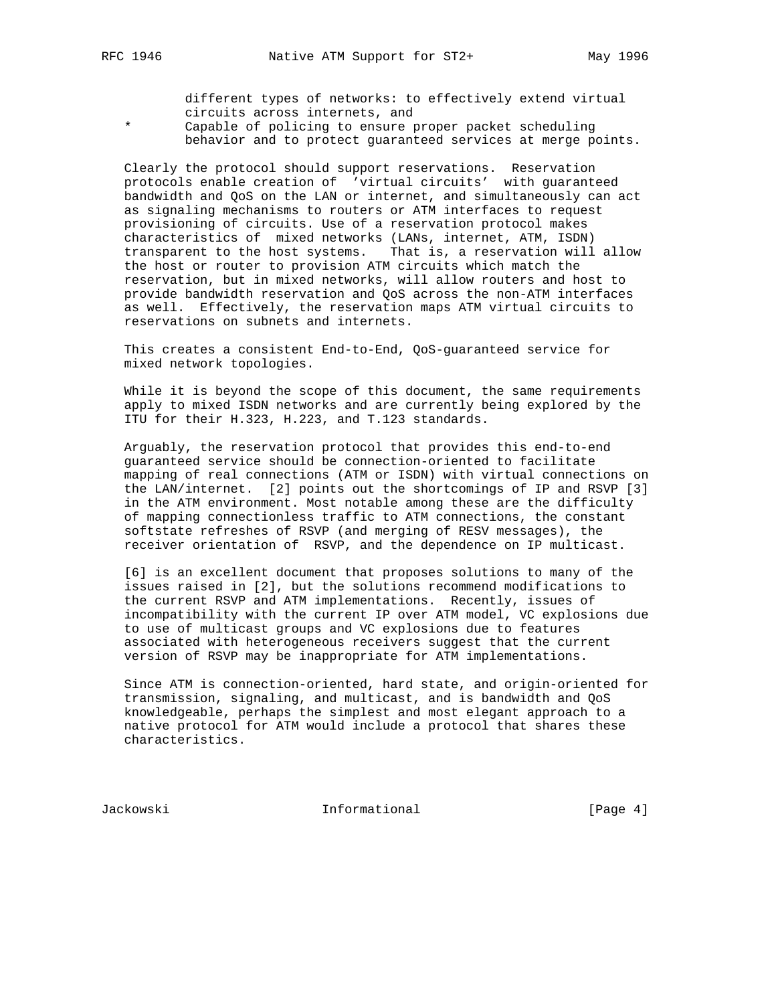different types of networks: to effectively extend virtual circuits across internets, and<br>\* Capable of policing to ensure r

Capable of policing to ensure proper packet scheduling behavior and to protect guaranteed services at merge points.

 Clearly the protocol should support reservations. Reservation protocols enable creation of 'virtual circuits' with guaranteed bandwidth and QoS on the LAN or internet, and simultaneously can act as signaling mechanisms to routers or ATM interfaces to request provisioning of circuits. Use of a reservation protocol makes characteristics of mixed networks (LANs, internet, ATM, ISDN) transparent to the host systems. That is, a reservation will allow the host or router to provision ATM circuits which match the reservation, but in mixed networks, will allow routers and host to provide bandwidth reservation and QoS across the non-ATM interfaces as well. Effectively, the reservation maps ATM virtual circuits to reservations on subnets and internets.

 This creates a consistent End-to-End, QoS-guaranteed service for mixed network topologies.

While it is beyond the scope of this document, the same requirements apply to mixed ISDN networks and are currently being explored by the ITU for their H.323, H.223, and T.123 standards.

 Arguably, the reservation protocol that provides this end-to-end guaranteed service should be connection-oriented to facilitate mapping of real connections (ATM or ISDN) with virtual connections on the LAN/internet. [2] points out the shortcomings of IP and RSVP [3] in the ATM environment. Most notable among these are the difficulty of mapping connectionless traffic to ATM connections, the constant softstate refreshes of RSVP (and merging of RESV messages), the receiver orientation of RSVP, and the dependence on IP multicast.

 [6] is an excellent document that proposes solutions to many of the issues raised in [2], but the solutions recommend modifications to the current RSVP and ATM implementations. Recently, issues of incompatibility with the current IP over ATM model, VC explosions due to use of multicast groups and VC explosions due to features associated with heterogeneous receivers suggest that the current version of RSVP may be inappropriate for ATM implementations.

 Since ATM is connection-oriented, hard state, and origin-oriented for transmission, signaling, and multicast, and is bandwidth and QoS knowledgeable, perhaps the simplest and most elegant approach to a native protocol for ATM would include a protocol that shares these characteristics.

Jackowski Informational [Page 4]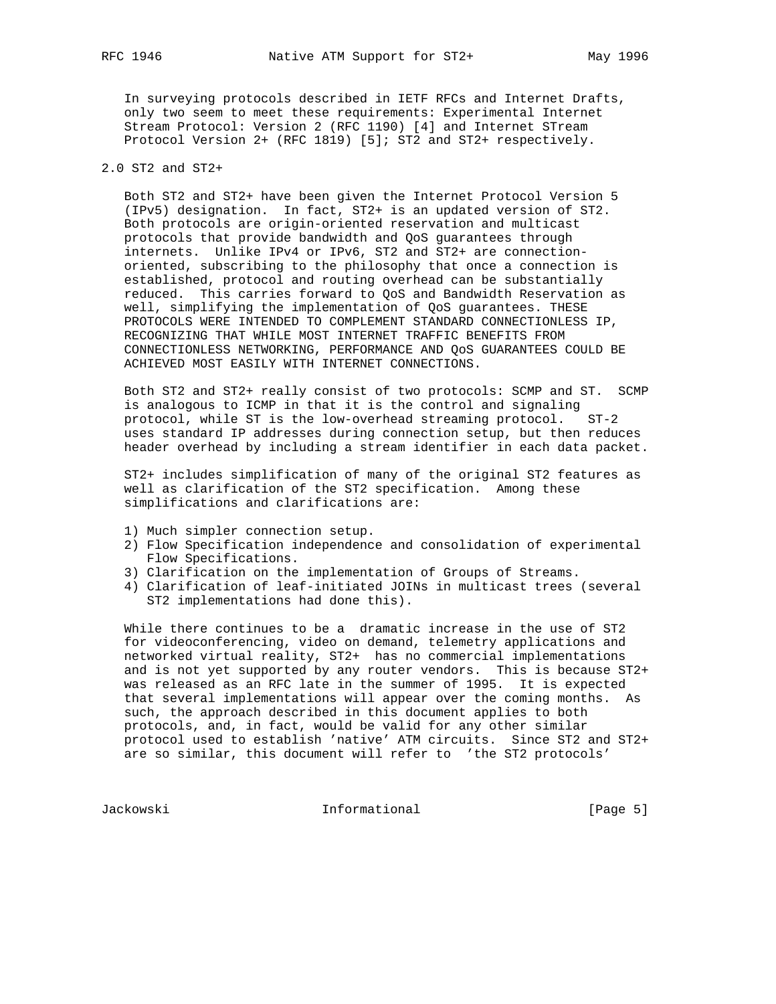In surveying protocols described in IETF RFCs and Internet Drafts, only two seem to meet these requirements: Experimental Internet Stream Protocol: Version 2 (RFC 1190) [4] and Internet STream Protocol Version 2+ (RFC 1819) [5]; ST2 and ST2+ respectively.

# 2.0 ST2 and ST2+

 Both ST2 and ST2+ have been given the Internet Protocol Version 5 (IPv5) designation. In fact, ST2+ is an updated version of ST2. Both protocols are origin-oriented reservation and multicast protocols that provide bandwidth and QoS guarantees through internets. Unlike IPv4 or IPv6, ST2 and ST2+ are connection oriented, subscribing to the philosophy that once a connection is established, protocol and routing overhead can be substantially reduced. This carries forward to QoS and Bandwidth Reservation as well, simplifying the implementation of QoS guarantees. THESE PROTOCOLS WERE INTENDED TO COMPLEMENT STANDARD CONNECTIONLESS IP, RECOGNIZING THAT WHILE MOST INTERNET TRAFFIC BENEFITS FROM CONNECTIONLESS NETWORKING, PERFORMANCE AND QoS GUARANTEES COULD BE ACHIEVED MOST EASILY WITH INTERNET CONNECTIONS.

 Both ST2 and ST2+ really consist of two protocols: SCMP and ST. SCMP is analogous to ICMP in that it is the control and signaling protocol, while ST is the low-overhead streaming protocol. ST-2 uses standard IP addresses during connection setup, but then reduces header overhead by including a stream identifier in each data packet.

 ST2+ includes simplification of many of the original ST2 features as well as clarification of the ST2 specification. Among these simplifications and clarifications are:

- 1) Much simpler connection setup.
- 2) Flow Specification independence and consolidation of experimental Flow Specifications.
- 3) Clarification on the implementation of Groups of Streams.
- 4) Clarification of leaf-initiated JOINs in multicast trees (several ST2 implementations had done this).

 While there continues to be a dramatic increase in the use of ST2 for videoconferencing, video on demand, telemetry applications and networked virtual reality, ST2+ has no commercial implementations and is not yet supported by any router vendors. This is because ST2+ was released as an RFC late in the summer of 1995. It is expected that several implementations will appear over the coming months. As such, the approach described in this document applies to both protocols, and, in fact, would be valid for any other similar protocol used to establish 'native' ATM circuits. Since ST2 and ST2+ are so similar, this document will refer to 'the ST2 protocols'

Jackowski Informational [Page 5]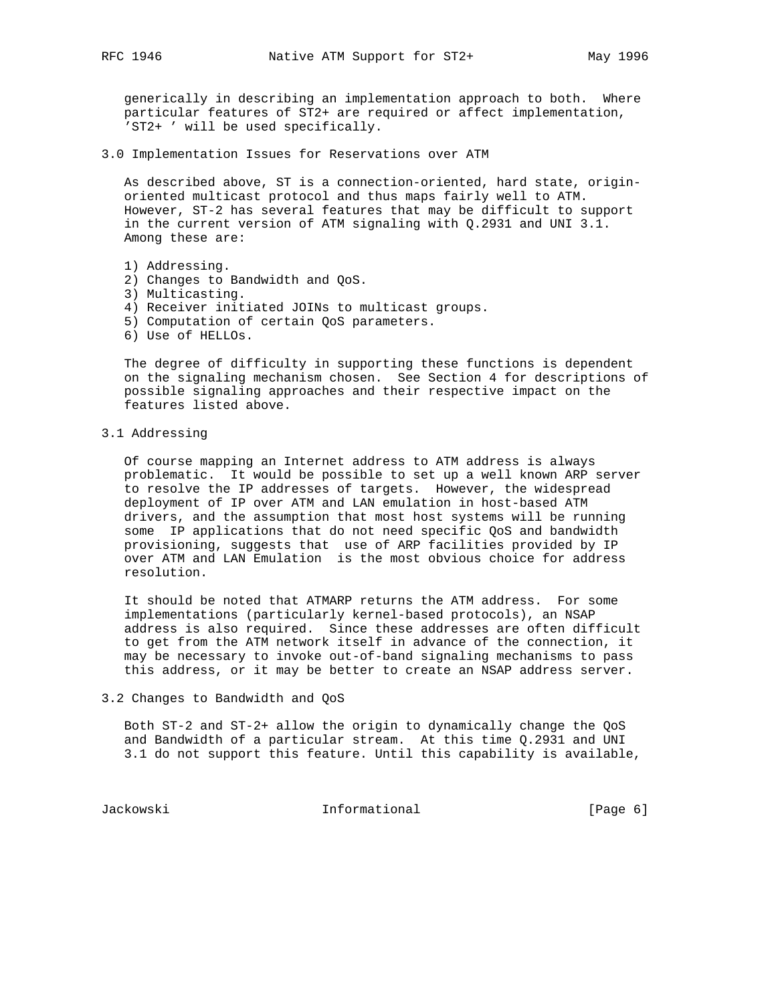generically in describing an implementation approach to both. Where particular features of ST2+ are required or affect implementation, 'ST2+ ' will be used specifically.

3.0 Implementation Issues for Reservations over ATM

 As described above, ST is a connection-oriented, hard state, origin oriented multicast protocol and thus maps fairly well to ATM. However, ST-2 has several features that may be difficult to support in the current version of ATM signaling with Q.2931 and UNI 3.1. Among these are:

- 1) Addressing.
- 2) Changes to Bandwidth and QoS.
- 3) Multicasting.
- 4) Receiver initiated JOINs to multicast groups.
- 5) Computation of certain QoS parameters.
- 6) Use of HELLOs.

 The degree of difficulty in supporting these functions is dependent on the signaling mechanism chosen. See Section 4 for descriptions of possible signaling approaches and their respective impact on the features listed above.

### 3.1 Addressing

 Of course mapping an Internet address to ATM address is always problematic. It would be possible to set up a well known ARP server to resolve the IP addresses of targets. However, the widespread deployment of IP over ATM and LAN emulation in host-based ATM drivers, and the assumption that most host systems will be running some IP applications that do not need specific QoS and bandwidth provisioning, suggests that use of ARP facilities provided by IP over ATM and LAN Emulation is the most obvious choice for address resolution.

 It should be noted that ATMARP returns the ATM address. For some implementations (particularly kernel-based protocols), an NSAP address is also required. Since these addresses are often difficult to get from the ATM network itself in advance of the connection, it may be necessary to invoke out-of-band signaling mechanisms to pass this address, or it may be better to create an NSAP address server.

3.2 Changes to Bandwidth and QoS

 Both ST-2 and ST-2+ allow the origin to dynamically change the QoS and Bandwidth of a particular stream. At this time Q.2931 and UNI 3.1 do not support this feature. Until this capability is available,

Jackowski **Informational** 1999 [Page 6]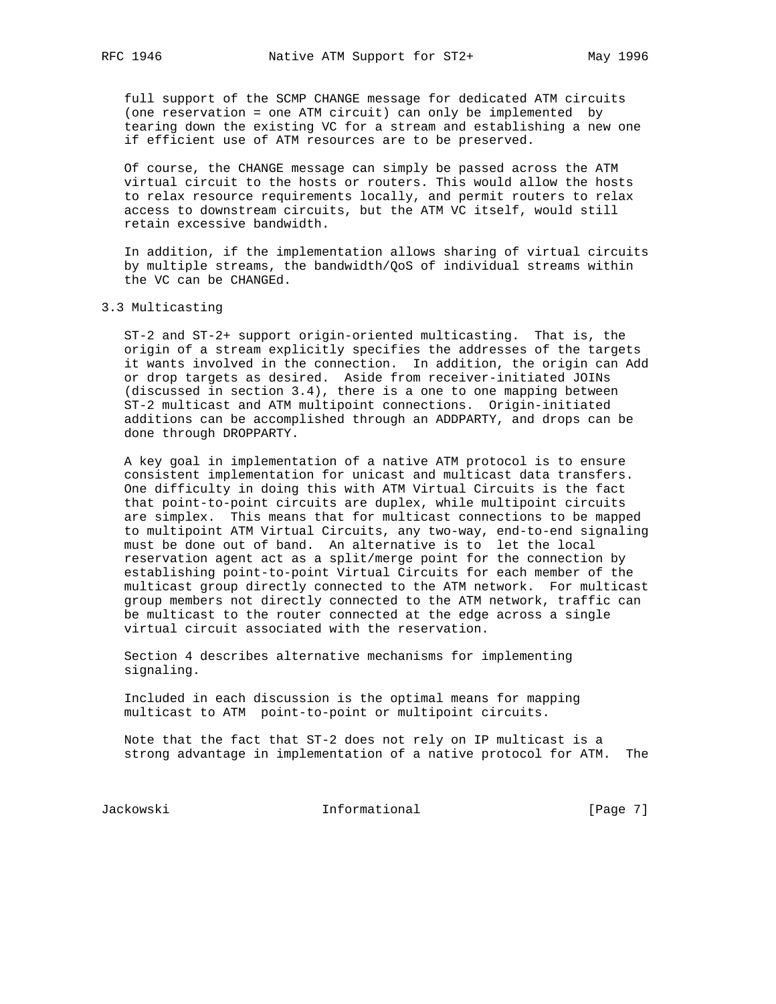full support of the SCMP CHANGE message for dedicated ATM circuits (one reservation = one ATM circuit) can only be implemented by tearing down the existing VC for a stream and establishing a new one if efficient use of ATM resources are to be preserved.

 Of course, the CHANGE message can simply be passed across the ATM virtual circuit to the hosts or routers. This would allow the hosts to relax resource requirements locally, and permit routers to relax access to downstream circuits, but the ATM VC itself, would still retain excessive bandwidth.

 In addition, if the implementation allows sharing of virtual circuits by multiple streams, the bandwidth/QoS of individual streams within the VC can be CHANGEd.

#### 3.3 Multicasting

 ST-2 and ST-2+ support origin-oriented multicasting. That is, the origin of a stream explicitly specifies the addresses of the targets it wants involved in the connection. In addition, the origin can Add or drop targets as desired. Aside from receiver-initiated JOINs (discussed in section 3.4), there is a one to one mapping between ST-2 multicast and ATM multipoint connections. Origin-initiated additions can be accomplished through an ADDPARTY, and drops can be done through DROPPARTY.

 A key goal in implementation of a native ATM protocol is to ensure consistent implementation for unicast and multicast data transfers. One difficulty in doing this with ATM Virtual Circuits is the fact that point-to-point circuits are duplex, while multipoint circuits are simplex. This means that for multicast connections to be mapped to multipoint ATM Virtual Circuits, any two-way, end-to-end signaling must be done out of band. An alternative is to let the local reservation agent act as a split/merge point for the connection by establishing point-to-point Virtual Circuits for each member of the multicast group directly connected to the ATM network. For multicast group members not directly connected to the ATM network, traffic can be multicast to the router connected at the edge across a single virtual circuit associated with the reservation.

 Section 4 describes alternative mechanisms for implementing signaling.

 Included in each discussion is the optimal means for mapping multicast to ATM point-to-point or multipoint circuits.

 Note that the fact that ST-2 does not rely on IP multicast is a strong advantage in implementation of a native protocol for ATM. The

Jackowski Informational [Page 7]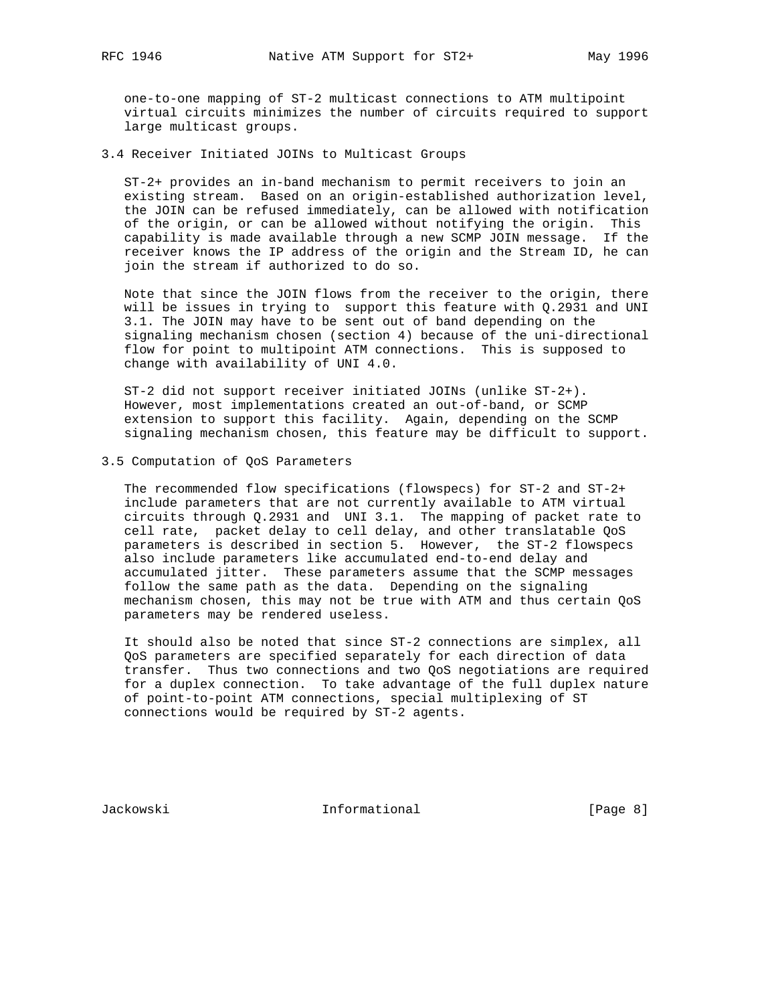one-to-one mapping of ST-2 multicast connections to ATM multipoint virtual circuits minimizes the number of circuits required to support large multicast groups.

3.4 Receiver Initiated JOINs to Multicast Groups

 ST-2+ provides an in-band mechanism to permit receivers to join an existing stream. Based on an origin-established authorization level, the JOIN can be refused immediately, can be allowed with notification of the origin, or can be allowed without notifying the origin. This capability is made available through a new SCMP JOIN message. If the receiver knows the IP address of the origin and the Stream ID, he can join the stream if authorized to do so.

 Note that since the JOIN flows from the receiver to the origin, there will be issues in trying to support this feature with Q.2931 and UNI 3.1. The JOIN may have to be sent out of band depending on the signaling mechanism chosen (section 4) because of the uni-directional flow for point to multipoint ATM connections. This is supposed to change with availability of UNI 4.0.

 ST-2 did not support receiver initiated JOINs (unlike ST-2+). However, most implementations created an out-of-band, or SCMP extension to support this facility. Again, depending on the SCMP signaling mechanism chosen, this feature may be difficult to support.

3.5 Computation of QoS Parameters

 The recommended flow specifications (flowspecs) for ST-2 and ST-2+ include parameters that are not currently available to ATM virtual circuits through Q.2931 and UNI 3.1. The mapping of packet rate to cell rate, packet delay to cell delay, and other translatable QoS parameters is described in section 5. However, the ST-2 flowspecs also include parameters like accumulated end-to-end delay and accumulated jitter. These parameters assume that the SCMP messages follow the same path as the data. Depending on the signaling mechanism chosen, this may not be true with ATM and thus certain QoS parameters may be rendered useless.

 It should also be noted that since ST-2 connections are simplex, all QoS parameters are specified separately for each direction of data transfer. Thus two connections and two QoS negotiations are required for a duplex connection. To take advantage of the full duplex nature of point-to-point ATM connections, special multiplexing of ST connections would be required by ST-2 agents.

Jackowski Informational [Page 8]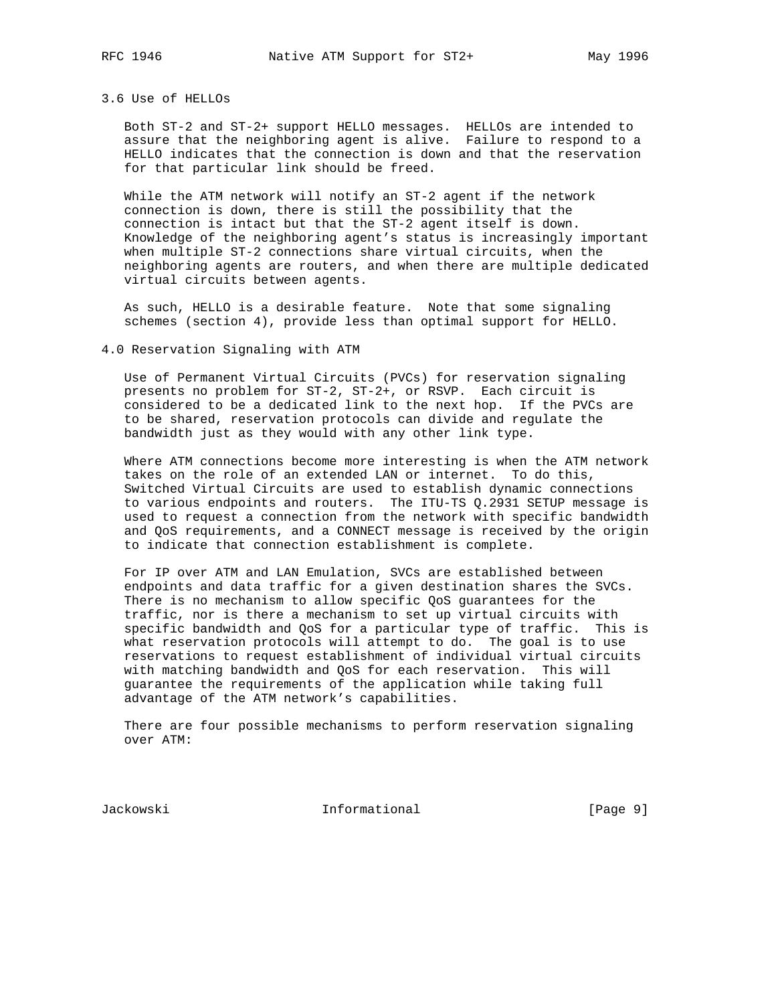## 3.6 Use of HELLOs

 Both ST-2 and ST-2+ support HELLO messages. HELLOs are intended to assure that the neighboring agent is alive. Failure to respond to a HELLO indicates that the connection is down and that the reservation for that particular link should be freed.

 While the ATM network will notify an ST-2 agent if the network connection is down, there is still the possibility that the connection is intact but that the ST-2 agent itself is down. Knowledge of the neighboring agent's status is increasingly important when multiple ST-2 connections share virtual circuits, when the neighboring agents are routers, and when there are multiple dedicated virtual circuits between agents.

 As such, HELLO is a desirable feature. Note that some signaling schemes (section 4), provide less than optimal support for HELLO.

### 4.0 Reservation Signaling with ATM

 Use of Permanent Virtual Circuits (PVCs) for reservation signaling presents no problem for ST-2, ST-2+, or RSVP. Each circuit is considered to be a dedicated link to the next hop. If the PVCs are to be shared, reservation protocols can divide and regulate the bandwidth just as they would with any other link type.

 Where ATM connections become more interesting is when the ATM network takes on the role of an extended LAN or internet. To do this, Switched Virtual Circuits are used to establish dynamic connections to various endpoints and routers. The ITU-TS Q.2931 SETUP message is used to request a connection from the network with specific bandwidth and QoS requirements, and a CONNECT message is received by the origin to indicate that connection establishment is complete.

 For IP over ATM and LAN Emulation, SVCs are established between endpoints and data traffic for a given destination shares the SVCs. There is no mechanism to allow specific QoS guarantees for the traffic, nor is there a mechanism to set up virtual circuits with specific bandwidth and QoS for a particular type of traffic. This is what reservation protocols will attempt to do. The goal is to use reservations to request establishment of individual virtual circuits with matching bandwidth and QoS for each reservation. This will guarantee the requirements of the application while taking full advantage of the ATM network's capabilities.

 There are four possible mechanisms to perform reservation signaling over ATM:

Jackowski Informational [Page 9]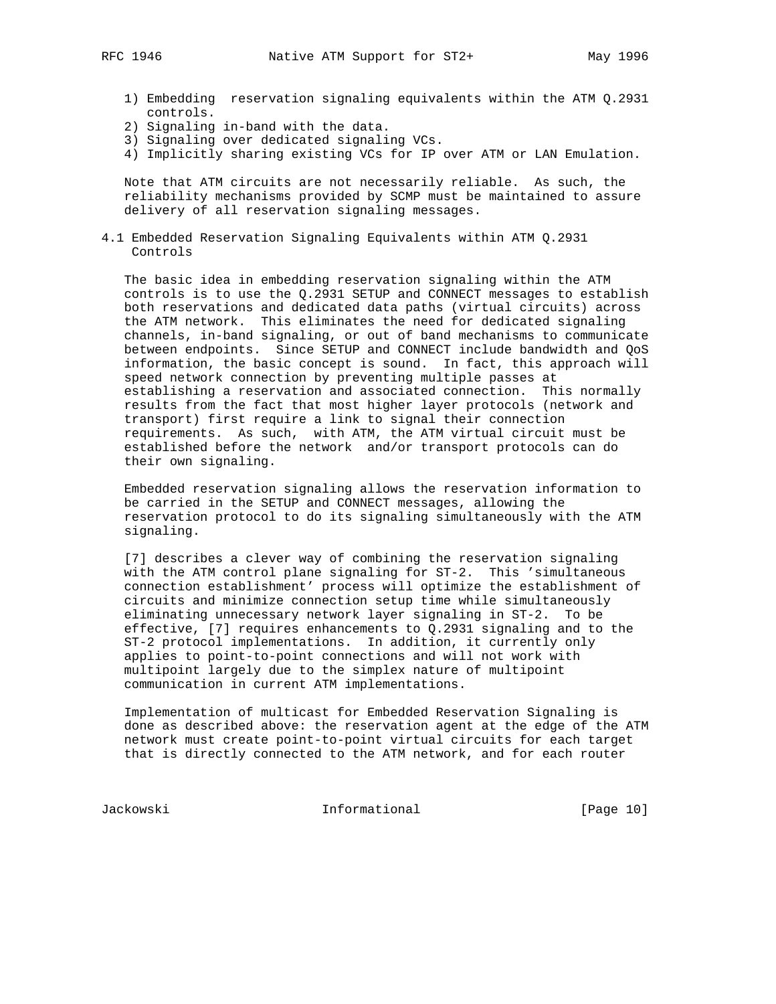- 
- 1) Embedding reservation signaling equivalents within the ATM Q.2931 controls.
- 2) Signaling in-band with the data.
- 3) Signaling over dedicated signaling VCs.
- 4) Implicitly sharing existing VCs for IP over ATM or LAN Emulation.

 Note that ATM circuits are not necessarily reliable. As such, the reliability mechanisms provided by SCMP must be maintained to assure delivery of all reservation signaling messages.

4.1 Embedded Reservation Signaling Equivalents within ATM Q.2931 Controls

 The basic idea in embedding reservation signaling within the ATM controls is to use the Q.2931 SETUP and CONNECT messages to establish both reservations and dedicated data paths (virtual circuits) across the ATM network. This eliminates the need for dedicated signaling channels, in-band signaling, or out of band mechanisms to communicate between endpoints. Since SETUP and CONNECT include bandwidth and QoS information, the basic concept is sound. In fact, this approach will speed network connection by preventing multiple passes at establishing a reservation and associated connection. This normally results from the fact that most higher layer protocols (network and transport) first require a link to signal their connection requirements. As such, with ATM, the ATM virtual circuit must be established before the network and/or transport protocols can do their own signaling.

 Embedded reservation signaling allows the reservation information to be carried in the SETUP and CONNECT messages, allowing the reservation protocol to do its signaling simultaneously with the ATM signaling.

 [7] describes a clever way of combining the reservation signaling with the ATM control plane signaling for ST-2. This 'simultaneous connection establishment' process will optimize the establishment of circuits and minimize connection setup time while simultaneously eliminating unnecessary network layer signaling in ST-2. To be effective, [7] requires enhancements to Q.2931 signaling and to the ST-2 protocol implementations. In addition, it currently only applies to point-to-point connections and will not work with multipoint largely due to the simplex nature of multipoint communication in current ATM implementations.

 Implementation of multicast for Embedded Reservation Signaling is done as described above: the reservation agent at the edge of the ATM network must create point-to-point virtual circuits for each target that is directly connected to the ATM network, and for each router

Jackowski Informational [Page 10]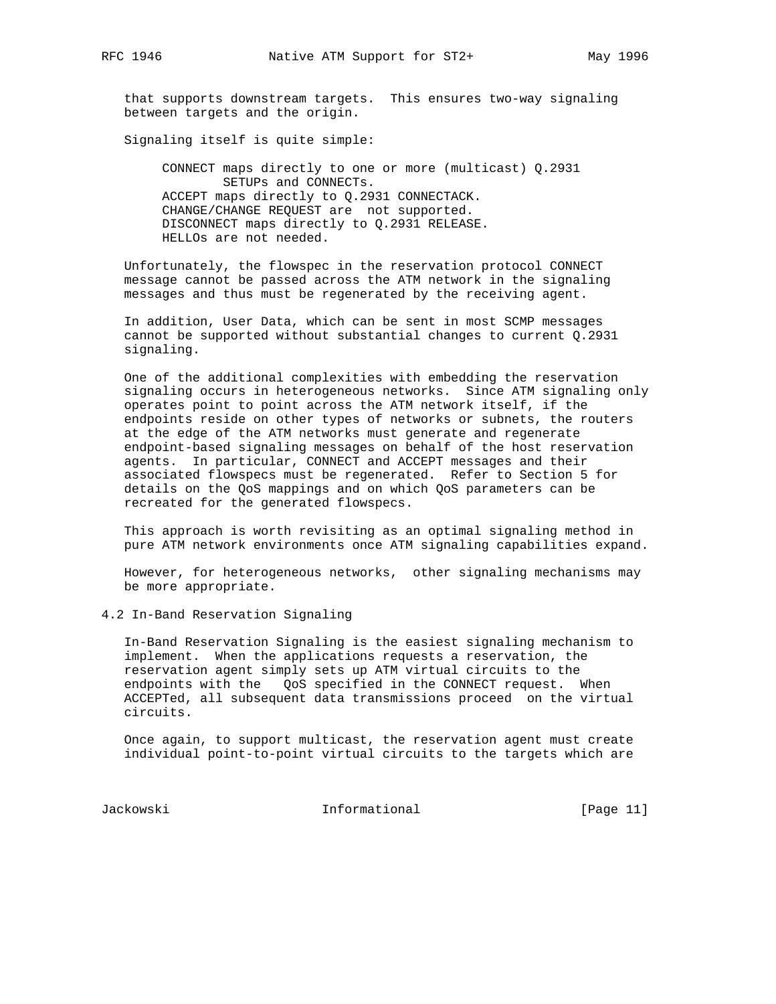that supports downstream targets. This ensures two-way signaling between targets and the origin.

Signaling itself is quite simple:

 CONNECT maps directly to one or more (multicast) Q.2931 SETUPs and CONNECTs. ACCEPT maps directly to Q.2931 CONNECTACK. CHANGE/CHANGE REQUEST are not supported. DISCONNECT maps directly to Q.2931 RELEASE. HELLOs are not needed.

 Unfortunately, the flowspec in the reservation protocol CONNECT message cannot be passed across the ATM network in the signaling messages and thus must be regenerated by the receiving agent.

 In addition, User Data, which can be sent in most SCMP messages cannot be supported without substantial changes to current Q.2931 signaling.

 One of the additional complexities with embedding the reservation signaling occurs in heterogeneous networks. Since ATM signaling only operates point to point across the ATM network itself, if the endpoints reside on other types of networks or subnets, the routers at the edge of the ATM networks must generate and regenerate endpoint-based signaling messages on behalf of the host reservation agents. In particular, CONNECT and ACCEPT messages and their associated flowspecs must be regenerated. Refer to Section 5 for details on the QoS mappings and on which QoS parameters can be recreated for the generated flowspecs.

 This approach is worth revisiting as an optimal signaling method in pure ATM network environments once ATM signaling capabilities expand.

 However, for heterogeneous networks, other signaling mechanisms may be more appropriate.

4.2 In-Band Reservation Signaling

 In-Band Reservation Signaling is the easiest signaling mechanism to implement. When the applications requests a reservation, the reservation agent simply sets up ATM virtual circuits to the endpoints with the QoS specified in the CONNECT request. When ACCEPTed, all subsequent data transmissions proceed on the virtual circuits.

 Once again, to support multicast, the reservation agent must create individual point-to-point virtual circuits to the targets which are

Jackowski Informational [Page 11]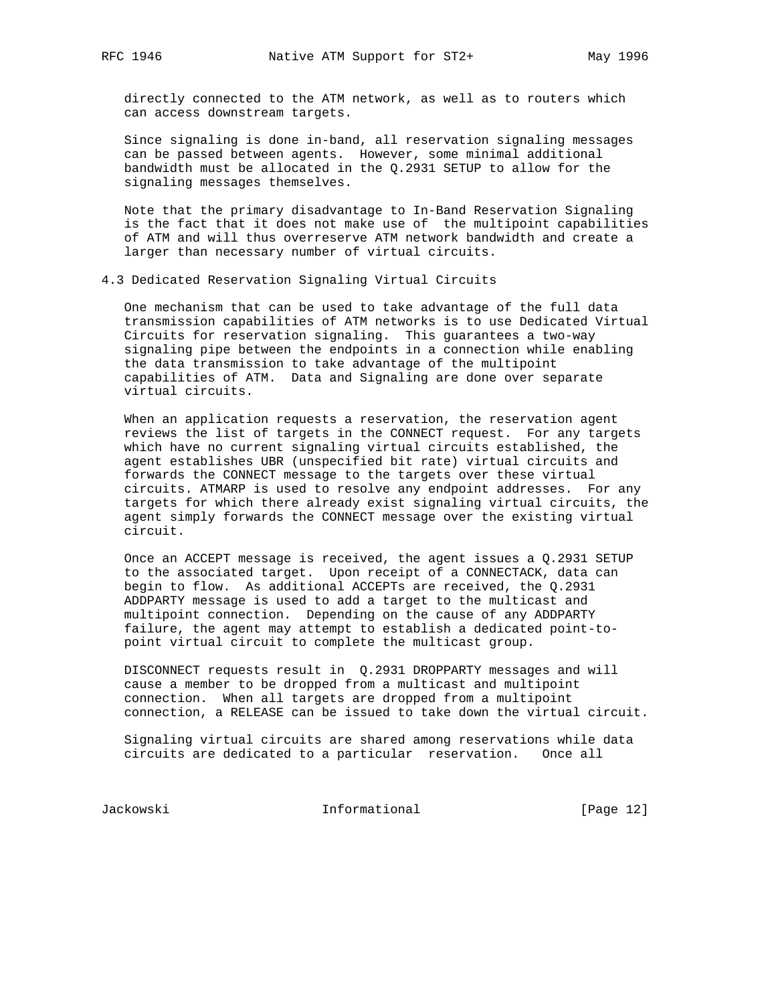directly connected to the ATM network, as well as to routers which can access downstream targets.

 Since signaling is done in-band, all reservation signaling messages can be passed between agents. However, some minimal additional bandwidth must be allocated in the Q.2931 SETUP to allow for the signaling messages themselves.

 Note that the primary disadvantage to In-Band Reservation Signaling is the fact that it does not make use of the multipoint capabilities of ATM and will thus overreserve ATM network bandwidth and create a larger than necessary number of virtual circuits.

4.3 Dedicated Reservation Signaling Virtual Circuits

 One mechanism that can be used to take advantage of the full data transmission capabilities of ATM networks is to use Dedicated Virtual Circuits for reservation signaling. This guarantees a two-way signaling pipe between the endpoints in a connection while enabling the data transmission to take advantage of the multipoint capabilities of ATM. Data and Signaling are done over separate virtual circuits.

 When an application requests a reservation, the reservation agent reviews the list of targets in the CONNECT request. For any targets which have no current signaling virtual circuits established, the agent establishes UBR (unspecified bit rate) virtual circuits and forwards the CONNECT message to the targets over these virtual circuits. ATMARP is used to resolve any endpoint addresses. For any targets for which there already exist signaling virtual circuits, the agent simply forwards the CONNECT message over the existing virtual circuit.

 Once an ACCEPT message is received, the agent issues a Q.2931 SETUP to the associated target. Upon receipt of a CONNECTACK, data can begin to flow. As additional ACCEPTs are received, the Q.2931 ADDPARTY message is used to add a target to the multicast and multipoint connection. Depending on the cause of any ADDPARTY failure, the agent may attempt to establish a dedicated point-to point virtual circuit to complete the multicast group.

 DISCONNECT requests result in Q.2931 DROPPARTY messages and will cause a member to be dropped from a multicast and multipoint connection. When all targets are dropped from a multipoint connection, a RELEASE can be issued to take down the virtual circuit.

 Signaling virtual circuits are shared among reservations while data circuits are dedicated to a particular reservation. Once all

Jackowski Informational [Page 12]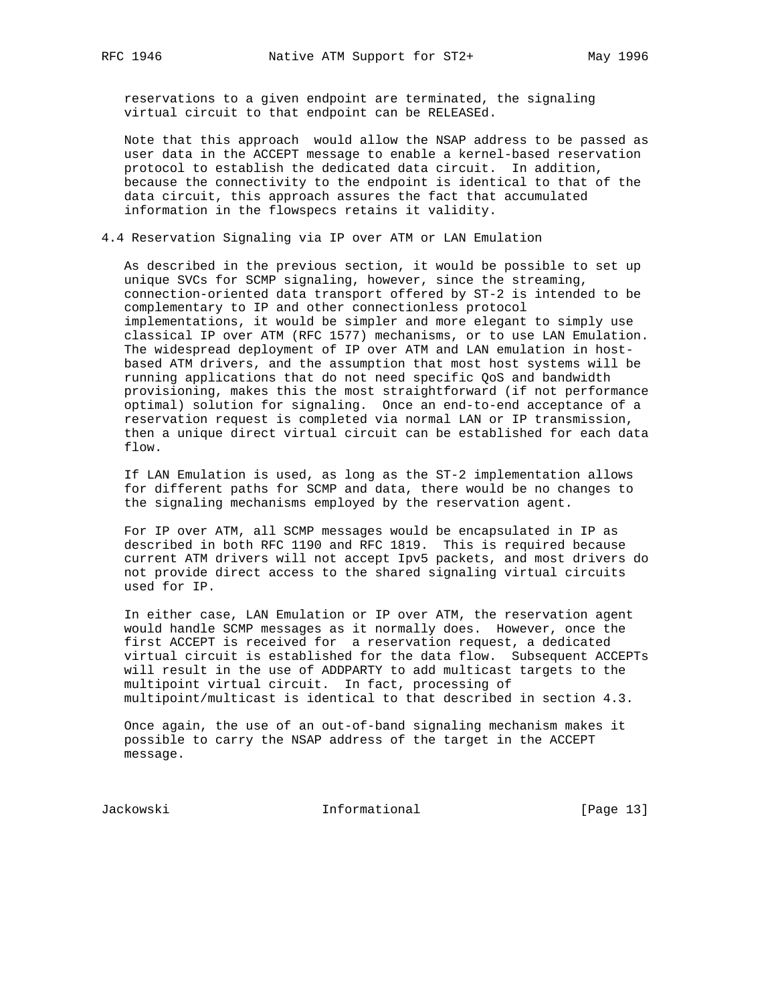reservations to a given endpoint are terminated, the signaling virtual circuit to that endpoint can be RELEASEd.

 Note that this approach would allow the NSAP address to be passed as user data in the ACCEPT message to enable a kernel-based reservation protocol to establish the dedicated data circuit. In addition, because the connectivity to the endpoint is identical to that of the data circuit, this approach assures the fact that accumulated information in the flowspecs retains it validity.

4.4 Reservation Signaling via IP over ATM or LAN Emulation

 As described in the previous section, it would be possible to set up unique SVCs for SCMP signaling, however, since the streaming, connection-oriented data transport offered by ST-2 is intended to be complementary to IP and other connectionless protocol implementations, it would be simpler and more elegant to simply use classical IP over ATM (RFC 1577) mechanisms, or to use LAN Emulation. The widespread deployment of IP over ATM and LAN emulation in host based ATM drivers, and the assumption that most host systems will be running applications that do not need specific QoS and bandwidth provisioning, makes this the most straightforward (if not performance optimal) solution for signaling. Once an end-to-end acceptance of a reservation request is completed via normal LAN or IP transmission, then a unique direct virtual circuit can be established for each data flow.

 If LAN Emulation is used, as long as the ST-2 implementation allows for different paths for SCMP and data, there would be no changes to the signaling mechanisms employed by the reservation agent.

 For IP over ATM, all SCMP messages would be encapsulated in IP as described in both RFC 1190 and RFC 1819. This is required because current ATM drivers will not accept Ipv5 packets, and most drivers do not provide direct access to the shared signaling virtual circuits used for IP.

 In either case, LAN Emulation or IP over ATM, the reservation agent would handle SCMP messages as it normally does. However, once the first ACCEPT is received for a reservation request, a dedicated virtual circuit is established for the data flow. Subsequent ACCEPTs will result in the use of ADDPARTY to add multicast targets to the multipoint virtual circuit. In fact, processing of multipoint/multicast is identical to that described in section 4.3.

 Once again, the use of an out-of-band signaling mechanism makes it possible to carry the NSAP address of the target in the ACCEPT message.

Jackowski Informational [Page 13]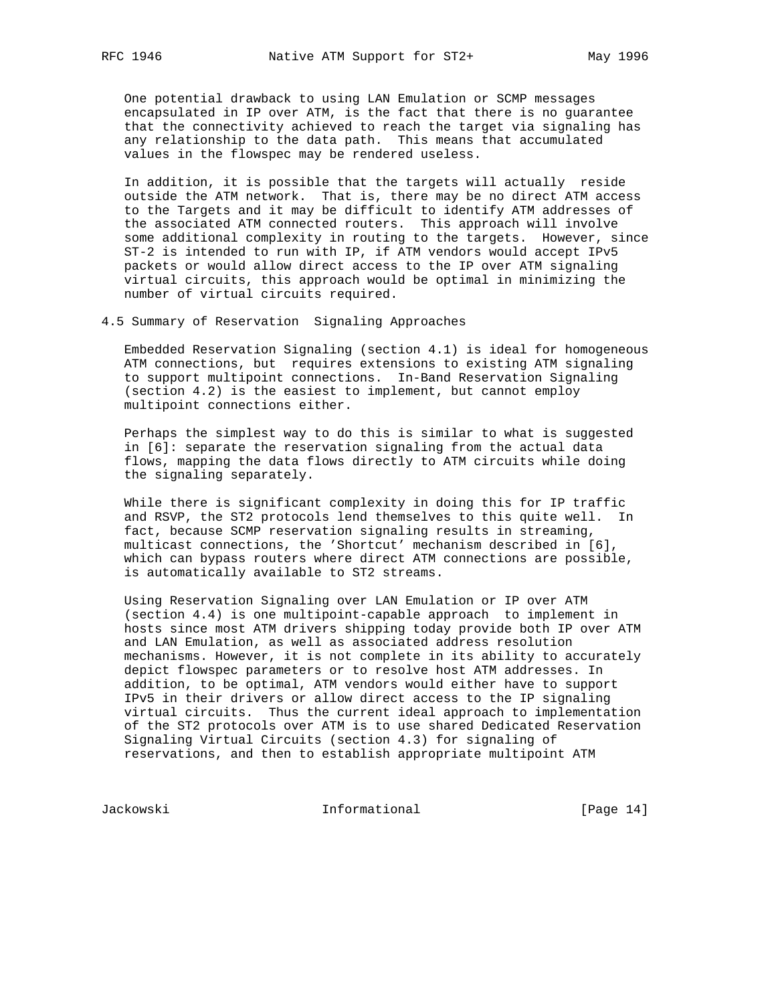One potential drawback to using LAN Emulation or SCMP messages encapsulated in IP over ATM, is the fact that there is no guarantee that the connectivity achieved to reach the target via signaling has any relationship to the data path. This means that accumulated values in the flowspec may be rendered useless.

 In addition, it is possible that the targets will actually reside outside the ATM network. That is, there may be no direct ATM access to the Targets and it may be difficult to identify ATM addresses of the associated ATM connected routers. This approach will involve some additional complexity in routing to the targets. However, since ST-2 is intended to run with IP, if ATM vendors would accept IPv5 packets or would allow direct access to the IP over ATM signaling virtual circuits, this approach would be optimal in minimizing the number of virtual circuits required.

4.5 Summary of Reservation Signaling Approaches

 Embedded Reservation Signaling (section 4.1) is ideal for homogeneous ATM connections, but requires extensions to existing ATM signaling to support multipoint connections. In-Band Reservation Signaling (section 4.2) is the easiest to implement, but cannot employ multipoint connections either.

 Perhaps the simplest way to do this is similar to what is suggested in [6]: separate the reservation signaling from the actual data flows, mapping the data flows directly to ATM circuits while doing the signaling separately.

 While there is significant complexity in doing this for IP traffic and RSVP, the ST2 protocols lend themselves to this quite well. In fact, because SCMP reservation signaling results in streaming, multicast connections, the 'Shortcut' mechanism described in [6], which can bypass routers where direct ATM connections are possible, is automatically available to ST2 streams.

 Using Reservation Signaling over LAN Emulation or IP over ATM (section 4.4) is one multipoint-capable approach to implement in hosts since most ATM drivers shipping today provide both IP over ATM and LAN Emulation, as well as associated address resolution mechanisms. However, it is not complete in its ability to accurately depict flowspec parameters or to resolve host ATM addresses. In addition, to be optimal, ATM vendors would either have to support IPv5 in their drivers or allow direct access to the IP signaling virtual circuits. Thus the current ideal approach to implementation of the ST2 protocols over ATM is to use shared Dedicated Reservation Signaling Virtual Circuits (section 4.3) for signaling of reservations, and then to establish appropriate multipoint ATM

Jackowski Informational [Page 14]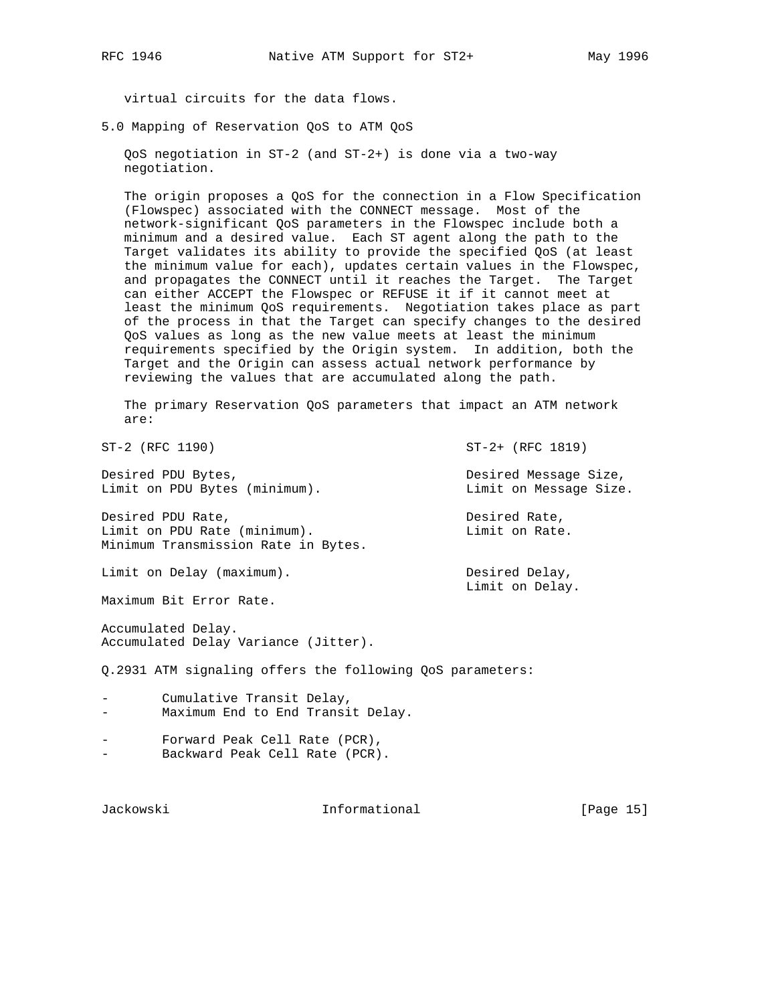virtual circuits for the data flows.

5.0 Mapping of Reservation QoS to ATM QoS

 QoS negotiation in ST-2 (and ST-2+) is done via a two-way negotiation.

 The origin proposes a QoS for the connection in a Flow Specification (Flowspec) associated with the CONNECT message. Most of the network-significant QoS parameters in the Flowspec include both a minimum and a desired value. Each ST agent along the path to the Target validates its ability to provide the specified QoS (at least the minimum value for each), updates certain values in the Flowspec, and propagates the CONNECT until it reaches the Target. The Target can either ACCEPT the Flowspec or REFUSE it if it cannot meet at least the minimum QoS requirements. Negotiation takes place as part of the process in that the Target can specify changes to the desired QoS values as long as the new value meets at least the minimum requirements specified by the Origin system. In addition, both the Target and the Origin can assess actual network performance by reviewing the values that are accumulated along the path.

 The primary Reservation QoS parameters that impact an ATM network are:

ST-2 (RFC 1190) ST-2+ (RFC 1819)

Desired PDU Bytes, Desired Message Size, Limit on PDU Bytes (minimum).<br>Limit on Message Size.

Desired PDU Rate,  $\qquad \qquad$  Desired Rate, Limit on PDU Rate (minimum). Limit on Rate. Minimum Transmission Rate in Bytes.

Limit on Delay (maximum). Desired Delay,

Maximum Bit Error Rate.

Accumulated Delay. Accumulated Delay Variance (Jitter).

Q.2931 ATM signaling offers the following QoS parameters:

- Cumulative Transit Delay, Maximum End to End Transit Delay.
- Forward Peak Cell Rate (PCR), Backward Peak Cell Rate (PCR).

Jackowski Informational [Page 15]

Limit on Delay.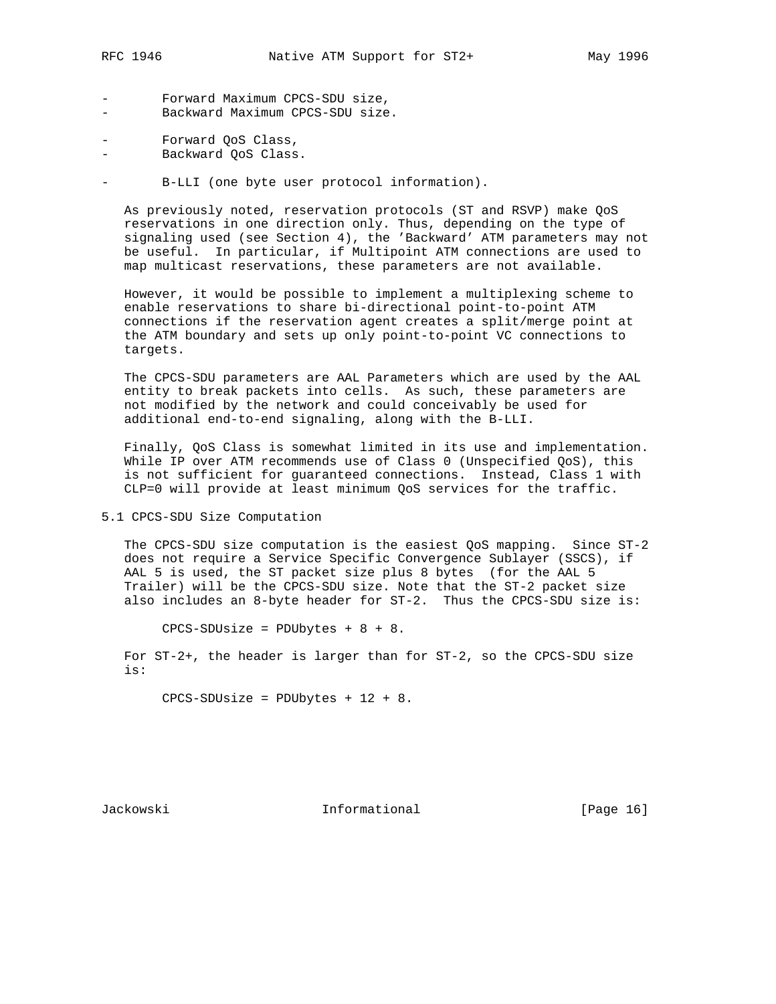- 
- Forward Maximum CPCS-SDU size, - Backward Maximum CPCS-SDU size.
- Forward QoS Class,
- Backward QoS Class.

- B-LLI (one byte user protocol information).

 As previously noted, reservation protocols (ST and RSVP) make QoS reservations in one direction only. Thus, depending on the type of signaling used (see Section 4), the 'Backward' ATM parameters may not be useful. In particular, if Multipoint ATM connections are used to map multicast reservations, these parameters are not available.

 However, it would be possible to implement a multiplexing scheme to enable reservations to share bi-directional point-to-point ATM connections if the reservation agent creates a split/merge point at the ATM boundary and sets up only point-to-point VC connections to targets.

 The CPCS-SDU parameters are AAL Parameters which are used by the AAL entity to break packets into cells. As such, these parameters are not modified by the network and could conceivably be used for additional end-to-end signaling, along with the B-LLI.

 Finally, QoS Class is somewhat limited in its use and implementation. While IP over ATM recommends use of Class 0 (Unspecified QoS), this is not sufficient for guaranteed connections. Instead, Class 1 with CLP=0 will provide at least minimum QoS services for the traffic.

5.1 CPCS-SDU Size Computation

 The CPCS-SDU size computation is the easiest QoS mapping. Since ST-2 does not require a Service Specific Convergence Sublayer (SSCS), if AAL 5 is used, the ST packet size plus 8 bytes (for the AAL 5 Trailer) will be the CPCS-SDU size. Note that the ST-2 packet size also includes an 8-byte header for ST-2. Thus the CPCS-SDU size is:

CPCS-SDUsize = PDUbytes + 8 + 8.

 For ST-2+, the header is larger than for ST-2, so the CPCS-SDU size is:

CPCS-SDUsize = PDUbytes + 12 + 8.

Jackowski Informational [Page 16]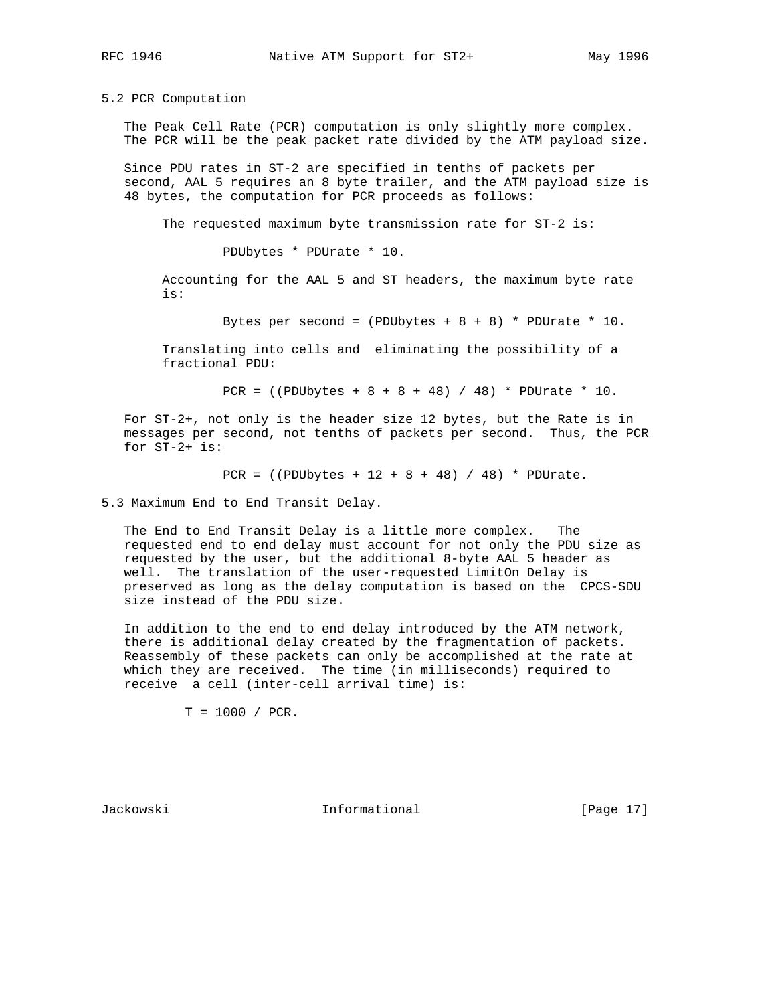5.2 PCR Computation

 The Peak Cell Rate (PCR) computation is only slightly more complex. The PCR will be the peak packet rate divided by the ATM payload size.

 Since PDU rates in ST-2 are specified in tenths of packets per second, AAL 5 requires an 8 byte trailer, and the ATM payload size is 48 bytes, the computation for PCR proceeds as follows:

The requested maximum byte transmission rate for ST-2 is:

PDUbytes \* PDUrate \* 10.

 Accounting for the AAL 5 and ST headers, the maximum byte rate is:

Bytes per second =  $(PDUbytes + 8 + 8) * PDUrate * 10.$ 

 Translating into cells and eliminating the possibility of a fractional PDU:

PCR = ((PDUbytes + 8 + 8 + 48) / 48) \* PDUrate \* 10.

 For ST-2+, not only is the header size 12 bytes, but the Rate is in messages per second, not tenths of packets per second. Thus, the PCR for ST-2+ is:

PCR =  $((PDUbytes + 12 + 8 + 48) / 48) * PDUrate.$ 

5.3 Maximum End to End Transit Delay.

 The End to End Transit Delay is a little more complex. The requested end to end delay must account for not only the PDU size as requested by the user, but the additional 8-byte AAL 5 header as well. The translation of the user-requested LimitOn Delay is preserved as long as the delay computation is based on the CPCS-SDU size instead of the PDU size.

 In addition to the end to end delay introduced by the ATM network, there is additional delay created by the fragmentation of packets. Reassembly of these packets can only be accomplished at the rate at which they are received. The time (in milliseconds) required to receive a cell (inter-cell arrival time) is:

 $T = 1000 / PCR$ .

Jackowski Informational [Page 17]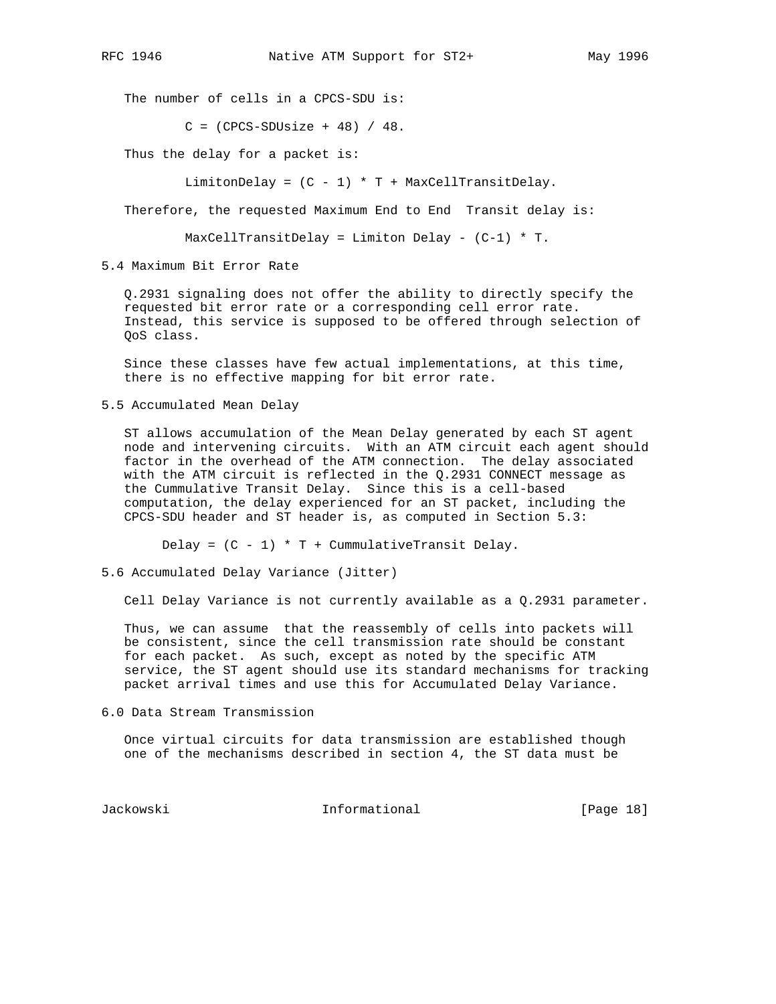The number of cells in a CPCS-SDU is:

 $C = (CPCS-SDUsize + 48) / 48.$ 

Thus the delay for a packet is:

LimitonDelay =  $(C - 1) * T + MaxCellTransitDelay$ .

Therefore, the requested Maximum End to End Transit delay is:

 $MaxCellTransitDelay = Limiton Delay - (C-1) * T.$ 

5.4 Maximum Bit Error Rate

 Q.2931 signaling does not offer the ability to directly specify the requested bit error rate or a corresponding cell error rate. Instead, this service is supposed to be offered through selection of QoS class.

 Since these classes have few actual implementations, at this time, there is no effective mapping for bit error rate.

5.5 Accumulated Mean Delay

 ST allows accumulation of the Mean Delay generated by each ST agent node and intervening circuits. With an ATM circuit each agent should factor in the overhead of the ATM connection. The delay associated with the ATM circuit is reflected in the Q.2931 CONNECT message as the Cummulative Transit Delay. Since this is a cell-based computation, the delay experienced for an ST packet, including the CPCS-SDU header and ST header is, as computed in Section 5.3:

Delay =  $(C - 1) * T +$  CummulativeTransit Delay.

5.6 Accumulated Delay Variance (Jitter)

Cell Delay Variance is not currently available as a Q.2931 parameter.

 Thus, we can assume that the reassembly of cells into packets will be consistent, since the cell transmission rate should be constant for each packet. As such, except as noted by the specific ATM service, the ST agent should use its standard mechanisms for tracking packet arrival times and use this for Accumulated Delay Variance.

6.0 Data Stream Transmission

 Once virtual circuits for data transmission are established though one of the mechanisms described in section 4, the ST data must be

Jackowski Informational [Page 18]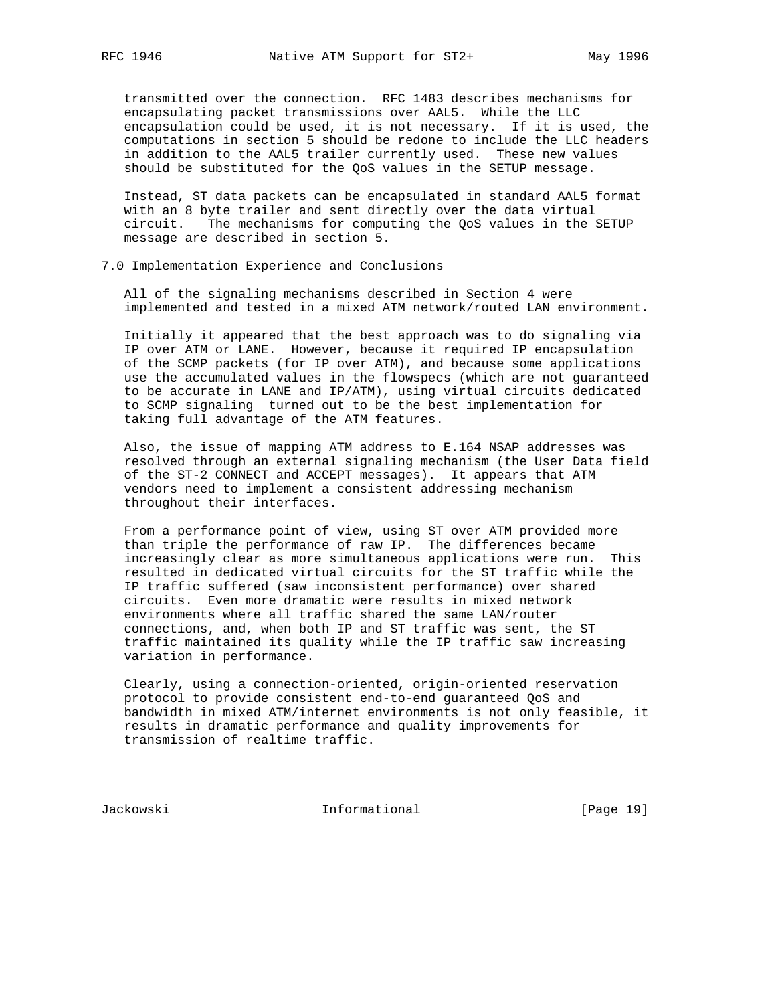transmitted over the connection. RFC 1483 describes mechanisms for encapsulating packet transmissions over AAL5. While the LLC encapsulation could be used, it is not necessary. If it is used, the computations in section 5 should be redone to include the LLC headers in addition to the AAL5 trailer currently used. These new values should be substituted for the QoS values in the SETUP message.

 Instead, ST data packets can be encapsulated in standard AAL5 format with an 8 byte trailer and sent directly over the data virtual circuit. The mechanisms for computing the QoS values in the SETUP message are described in section 5.

7.0 Implementation Experience and Conclusions

 All of the signaling mechanisms described in Section 4 were implemented and tested in a mixed ATM network/routed LAN environment.

 Initially it appeared that the best approach was to do signaling via IP over ATM or LANE. However, because it required IP encapsulation of the SCMP packets (for IP over ATM), and because some applications use the accumulated values in the flowspecs (which are not guaranteed to be accurate in LANE and IP/ATM), using virtual circuits dedicated to SCMP signaling turned out to be the best implementation for taking full advantage of the ATM features.

 Also, the issue of mapping ATM address to E.164 NSAP addresses was resolved through an external signaling mechanism (the User Data field of the ST-2 CONNECT and ACCEPT messages). It appears that ATM vendors need to implement a consistent addressing mechanism throughout their interfaces.

 From a performance point of view, using ST over ATM provided more than triple the performance of raw IP. The differences became increasingly clear as more simultaneous applications were run. This resulted in dedicated virtual circuits for the ST traffic while the IP traffic suffered (saw inconsistent performance) over shared circuits. Even more dramatic were results in mixed network environments where all traffic shared the same LAN/router connections, and, when both IP and ST traffic was sent, the ST traffic maintained its quality while the IP traffic saw increasing variation in performance.

 Clearly, using a connection-oriented, origin-oriented reservation protocol to provide consistent end-to-end guaranteed QoS and bandwidth in mixed ATM/internet environments is not only feasible, it results in dramatic performance and quality improvements for transmission of realtime traffic.

Jackowski Informational [Page 19]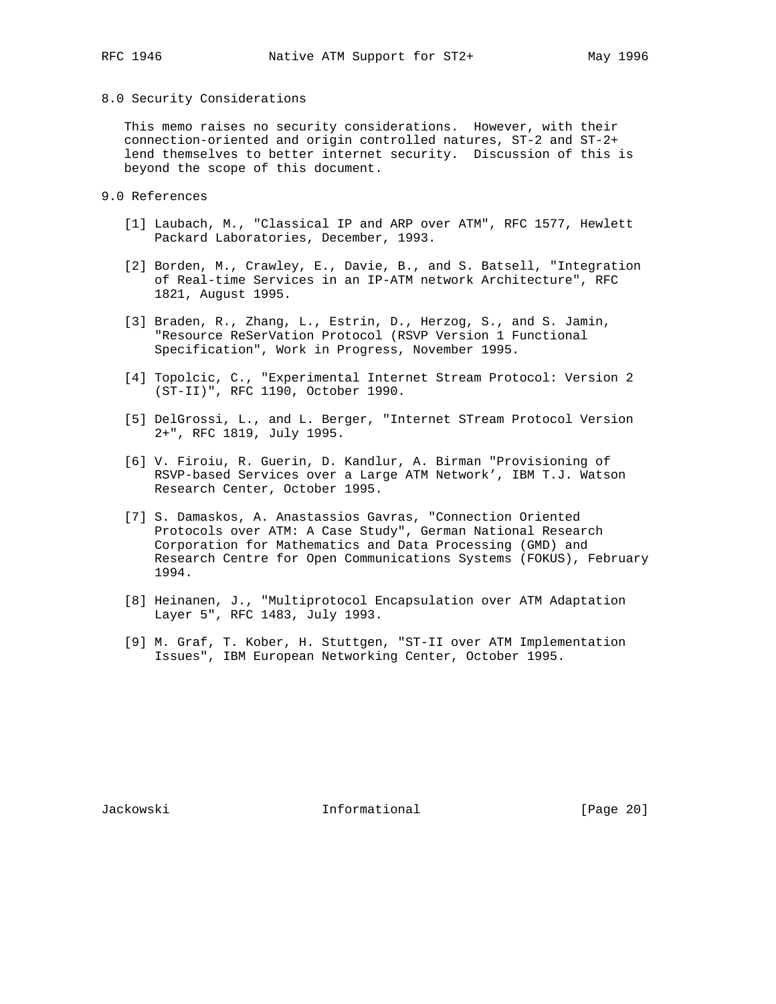#### 8.0 Security Considerations

 This memo raises no security considerations. However, with their connection-oriented and origin controlled natures, ST-2 and ST-2+ lend themselves to better internet security. Discussion of this is beyond the scope of this document.

- 9.0 References
	- [1] Laubach, M., "Classical IP and ARP over ATM", RFC 1577, Hewlett Packard Laboratories, December, 1993.
	- [2] Borden, M., Crawley, E., Davie, B., and S. Batsell, "Integration of Real-time Services in an IP-ATM network Architecture", RFC 1821, August 1995.
	- [3] Braden, R., Zhang, L., Estrin, D., Herzog, S., and S. Jamin, "Resource ReSerVation Protocol (RSVP Version 1 Functional Specification", Work in Progress, November 1995.
	- [4] Topolcic, C., "Experimental Internet Stream Protocol: Version 2 (ST-II)", RFC 1190, October 1990.
	- [5] DelGrossi, L., and L. Berger, "Internet STream Protocol Version 2+", RFC 1819, July 1995.
	- [6] V. Firoiu, R. Guerin, D. Kandlur, A. Birman "Provisioning of RSVP-based Services over a Large ATM Network', IBM T.J. Watson Research Center, October 1995.
	- [7] S. Damaskos, A. Anastassios Gavras, "Connection Oriented Protocols over ATM: A Case Study", German National Research Corporation for Mathematics and Data Processing (GMD) and Research Centre for Open Communications Systems (FOKUS), February 1994.
	- [8] Heinanen, J., "Multiprotocol Encapsulation over ATM Adaptation Layer 5", RFC 1483, July 1993.
	- [9] M. Graf, T. Kober, H. Stuttgen, "ST-II over ATM Implementation Issues", IBM European Networking Center, October 1995.

Jackowski Informational [Page 20]